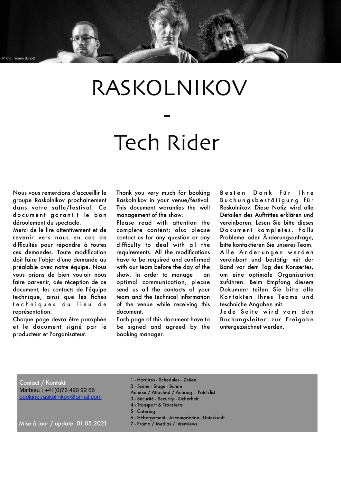# RASKOLNIKOV

## Tech Rider

-

Nous vous remercions d'accueillir le groupe Raskolnikov prochainement dans votre salle/festival. Ce do cument garantit le bon déroulement du spectacle.

Photo : Yoann Schot

Merci de le lire attentivement et de revenir vers nous en cas de difficultés pour répondre à toutes ces demandes. Toute modification doit faire l'objet d'une demande au préalable avec notre équipe. Nous vous prions de bien vouloir nous faire parvenir, dès réception de ce document, les contacts de l'équipe technique, ainsi que les fiches te chniques du lieu de représentation.

Chaque page devra être paraphée et le document signé par le producteur et l'organisateur.

Thank you very much for booking Raskolnikov in your venue/festival. This document waranties the well management of the show.

Please read with attention the complete content; also please contact us for any question or any difficulty to deal with all the requirements. All the modifications have to be required and confirmed with our team before the day of the show. In order to manage an optimal communication, please send us all the contacts of your team and the technical information of the venue while receiving this document.

Each page of this document have to be signed and agreed by the booking manager.

Besten Dank für Ihre B u c h u n a s b e s t ä t i a u n a f ü r Raskolnikov. Diese Notiz wird alle Detailen des Auftrittes erklären und vereinbaren. Lesen Sie bitte dieses Dokument kompletes. Falls Probleme oder Änderungsanfrage, bitte kontaktieren Sie unseres Team. Alle Änderungen werden vereinbart und bestätigt mit der Band vor dem Tag des Konzertes, um eine optimale Organisation zuführen. Beim Empfang diesem Dokument teilen Sie bitte alle Kontakten Ihres Teams und teschniche Angaben mit.

Jede Seite wird vom den Buchungsleiter zur Freigabe untergezeichnet werden.

Contact / Kontakt Mathieu : +41(0)76 490 92 66 [booking.raskolnikov@gmail.com](mailto:jusintevrardmail@gmail.com)

- 5 Catering
- Mise à jour / update 01.05.2021 7 Promo / Medias / Interviews
- 6 Hébergement Accomodation Unterkunft

1 - Horaires - Schedules - Zeiten 2 - Scène - Stage - Bühne

Annexe / Attached / Anhang : Patch-list 3 - Sécurité - Security - Sicherheit 4 - Transport & Transferts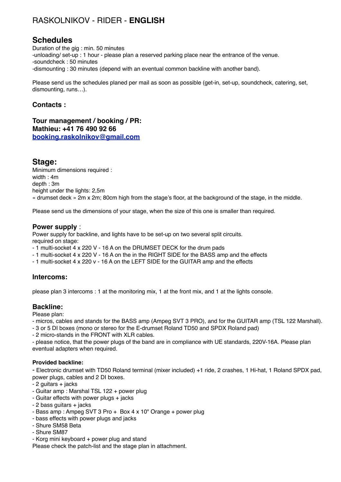## RASKOLNIKOV - RIDER - **ENGLISH**

### **Schedules**

Duration of the gig : min. 50 minutes -unloading/ set-up : 1 hour - please plan a reserved parking place near the entrance of the venue. -soundcheck : 50 minutes -dismounting : 30 minutes (depend with an eventual common backline with another band).

Please send us the schedules planed per mail as soon as possible (get-in, set-up, soundcheck, catering, set, dismounting, runs…).

#### **Contacts :**

**Tour management / booking / PR: Mathieu: +41 76 490 92 66 [booking.raskolnikov@gmail.com](mailto:jusintevrardmail@gmail.com)**

#### **Stage:**

Minimum dimensions required : width : 4m depth : 3m height under the lights: 2,5m « drumset deck » 2m x 2m; 80cm high from the stage's floor, at the background of the stage, in the middle.

Please send us the dimensions of your stage, when the size of this one is smaller than required.

#### **Power supply** :

Power supply for backline, and lights have to be set-up on two several split circuits. required on stage:

- 1 multi-socket 4 x 220 V 16 A on the DRUMSET DECK for the drum pads
- 1 multi-socket 4 x 220 V 16 A on the in the RIGHT SIDE for the BASS amp and the effects
- 1 multi-socket 4 x 220 v 16 A on the LEFT SIDE for the GUITAR amp and the effects

#### **Intercoms:**

please plan 3 intercoms : 1 at the monitoring mix, 1 at the front mix, and 1 at the lights console.

#### **Backline:**

Please plan:

- micros, cables and stands for the BASS amp (Ampeg SVT 3 PRO), and for the GUITAR amp (TSL 122 Marshall).
- 3 or 5 DI boxes (mono or stereo for the E-drumset Roland TD50 and SPDX Roland pad)
- 2 micro-stands in the FRONT with XLR cables.

- please notice, that the power plugs of the band are in compliance with UE standards, 220V-16A. Please plan eventual adapters when required.

#### **Provided backline:**

- Electronic drumset with TD50 Roland terminal (mixer included) +1 ride, 2 crashes, 1 Hi-hat, 1 Roland SPDX pad, power plugs, cables and 2 DI boxes.

- 2 guitars + jacks
- Guitar amp : Marshal TSL 122 + power plug
- Guitar effects with power plugs + jacks
- 2 bass guitars + jacks
- Bass amp : Ampeg SVT 3 Pro + Box 4 x 10" Orange + power plug
- bass effects with power plugs and jacks
- Shure SM58 Beta
- Shure SM87
- Korg mini keyboard + power plug and stand

Please check the patch-list and the stage plan in attachment.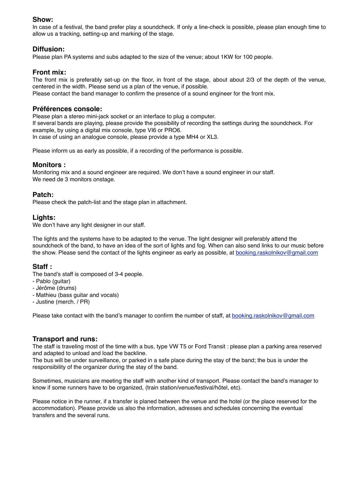#### **Show:**

In case of a festival, the band prefer play a soundcheck. If only a line-check is possible, please plan enough time to allow us a tracking, setting-up and marking of the stage.

#### **Diffusion:**

Please plan PA systems and subs adapted to the size of the venue; about 1KW for 100 people.

#### **Front mix:**

The front mix is preferably set-up on the floor, in front of the stage, about about 2/3 of the depth of the venue, centered in the width. Please send us a plan of the venue, if possible. Please contact the band manager to confirm the presence of a sound engineer for the front mix.

#### **Préférences console:**

Please plan a stereo mini-jack socket or an interface to plug a computer. If several bands are playing, please provide the possibility of recording the settings during the soundcheck. For example, by using a digital mix console, type VI6 or PRO6. In case of using an analogue console, please provide a type MH4 or XL3.

Please inform us as early as possible, if a recording of the performance is possible.

#### **Monitors :**

Monitoring mix and a sound engineer are required. We don't have a sound engineer in our staff. We need de 3 monitors onstage.

#### **Patch:**

Please check the patch-list and the stage plan in attachment.

#### **Lights:**

We don't have any light designer in our staff.

The lights and the systems have to be adapted to the venue. The light designer will preferably attend the soundcheck of the band, to have an idea of the sort of lights and fog. When can also send links to our music before the show. Please send the contact of the lights engineer as early as possible, at [booking.raskolnikov@gmail.com](mailto:mszpiechowycz@gmail.com)

#### **Staff :**

The band's staff is composed of 3-4 people.

- Pablo (guitar)
- Jérôme (drums)
- Mathieu (bass guitar and vocals)
- Justine (merch. / PR)

Please take contact with the band's manager to confirm the number of staff, at [booking.raskolnikov@gmail.com](mailto:mszpiechowycz@gmail.com)

#### **Transport and runs:**

The staff is traveling most of the time with a bus, type VW T5 or Ford Transit : please plan a parking area reserved and adapted to unload and load the backline.

The bus will be under surveillance, or parked in a safe place during the stay of the band; the bus is under the responsibility of the organizer during the stay of the band.

Sometimes, musicians are meeting the staff with another kind of transport. Please contact the band's manager to know if some runners have to be organized, (train station/venue/festival/hôtel, etc).

Please notice in the runner, if a transfer is planed between the venue and the hotel (or the place reserved for the accommodation). Please provide us also the information, adresses and schedules concerning the eventual transfers and the several runs.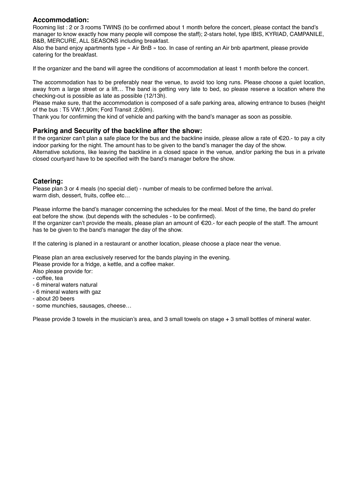#### **Accommodation:**

Rooming list : 2 or 3 rooms TWINS (to be confirmed about 1 month before the concert, please contact the band's manager to know exactly how many people will compose the staff); 2-stars hotel, type IBIS, KYRIAD, CAMPANILE, B&B, MERCURE, ALL SEASONS including breakfast.

Also the band enjoy apartments type « Air BnB » too. In case of renting an Air bnb apartment, please provide catering for the breakfast.

If the organizer and the band will agree the conditions of accommodation at least 1 month before the concert.

The accommodation has to be preferably near the venue, to avoid too long runs. Please choose a quiet location, away from a large street or a lift… The band is getting very late to bed, so please reserve a location where the checking-out is possible as late as possible (12/13h).

Please make sure, that the accommodation is composed of a safe parking area, allowing entrance to buses (height of the bus : T5 VW:1,90m; Ford Transit :2,60m).

Thank you for confirming the kind of vehicle and parking with the band's manager as soon as possible.

#### **Parking and Security of the backline after the show:**

If the organizer can't plan a safe place for the bus and the backline inside, please allow a rate of €20.- to pay a city indoor parking for the night. The amount has to be given to the band's manager the day of the show.

Alternative solutions, like leaving the backline in a closed space in the venue, and/or parking the bus in a private closed courtyard have to be specified with the band's manager before the show.

#### **Catering:**

Please plan 3 or 4 meals (no special diet) - number of meals to be confirmed before the arrival. warm dish, dessert, fruits, coffee etc…

Please informe the band's manager concerning the schedules for the meal. Most of the time, the band do prefer eat before the show. (but depends with the schedules - to be confirmed).

If the organizer can't provide the meals, please plan an amount of €20.- for each people of the staff. The amount has te be given to the band's manager the day of the show.

If the catering is planed in a restaurant or another location, please choose a place near the venue.

Please plan an area exclusively reserved for the bands playing in the evening. Please provide for a fridge, a kettle, and a coffee maker.

Also please provide for:

- coffee, tea
- 6 mineral waters natural
- 6 mineral waters with gaz
- about 20 beers
- some munchies, sausages, cheese…

Please provide 3 towels in the musician's area, and 3 small towels on stage + 3 small bottles of mineral water.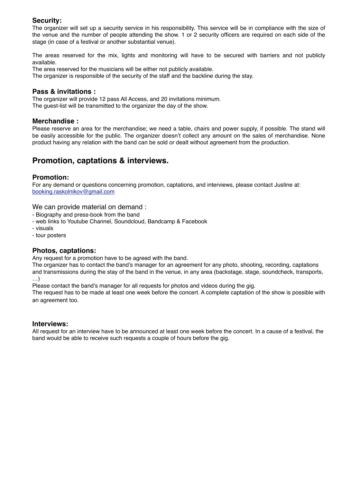#### **Security:**

The organizer will set up a security service in his responsibility. This service will be in compliance with the size of the venue and the number of people attending the show. 1 or 2 security officers are required on each side of the stage (in case of a festival or another substantial venue).

The areas reserved for the mix, lights and monitoring will have to be secured with barriers and not publicly available.

The area reserved for the musicians will be either not publicly available.

The organizer is responsible of the security of the staff and the backline during the stay.

#### **Pass & invitations :**

The organizer will provide 12 pass All Access, and 20 invitations minimum. The guest-list will be transmitted to the organizer the day of the show.

#### **Merchandise :**

Please reserve an area for the merchandise; we need a table, chairs and power supply, if possible. The stand will be easily accessible for the public. The organizer doesn't collect any amount on the sales of merchandise. None product having any relation with the band can be sold or dealt without agreement from the production.

### **Promotion, captations & interviews.**

#### **Promotion:**

For any demand or questions concerning promotion, captations, and interviews, please contact Justine at: [booking.raskolnikov@gmail.com](mailto:mszpiechowycz@gmail.com)

#### We can provide material on demand :

- Biography and press-book from the band
- web links to Youtube Channel, Soundcloud, Bandcamp & Facebook
- visuals
- tour posters

#### **Photos, captations:**

Any request for a promotion have to be agreed with the band.

The organizer has to contact the band's manager for an agreement for any photo, shooting, recording, captations and transmissions during the stay of the band in the venue, in any area (backstage, stage, soundcheck, transports, …)

Please contact the band's manager for all requests for photos and videos during the gig.

The request has to be made at least one week before the concert. A complete captation of the show is possible with an agreement too.

#### **Interviews:**

All request for an interview have to be announced at least one week before the concert. In a cause of a festival, the band would be able to receive such requests a couple of hours before the gig.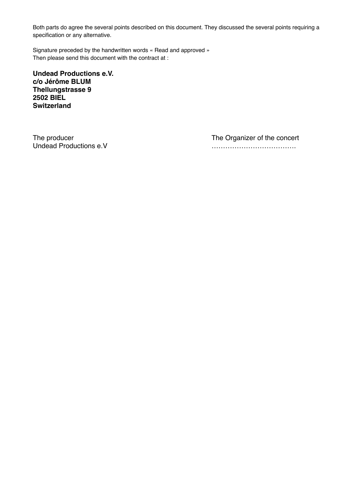Both parts do agree the several points described on this document. They discussed the several points requiring a specification or any alternative.

Signature preceded by the handwritten words « Read and approved » Then please send this document with the contract at :

**Undead Productions e.V. c/o Jérôme BLUM Thellungstrasse 9 2502 BIEL Switzerland**

The producer<br>
Undead Productions e.V<br>
The Organizer of the concert<br>  $\ldots$ 

Undead Productions e.V ……………………………….